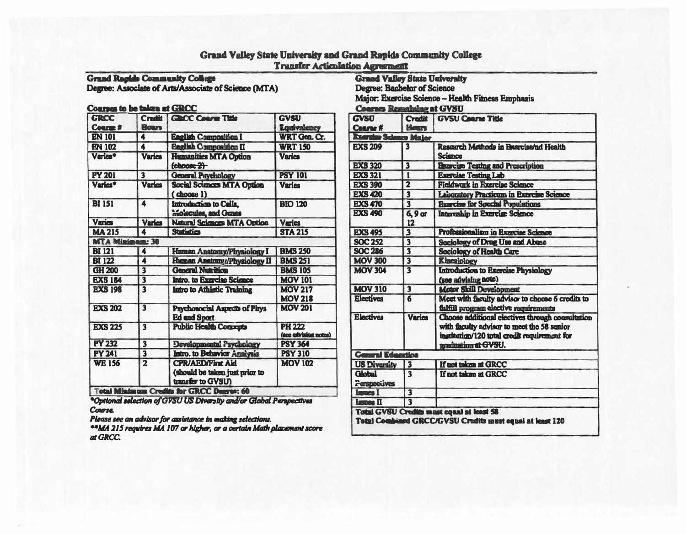## Grand Valley State University and Grand Rapids Community College **Transfer Articulation Agreement**

Grand Racide Community Collige<br>Degree: Associate of Arts/Associate of Science (MTA)

### Courses to be taken at GRCC

| <b>GRCC</b>                             | <b>Credit</b>           | <b>GROC Coars Title</b>                                                                                         | <b>GVSU</b>                           |
|-----------------------------------------|-------------------------|-----------------------------------------------------------------------------------------------------------------|---------------------------------------|
| <b>Course #</b>                         | <b>Bour</b>             |                                                                                                                 | <b>Equivalency</b>                    |
| <b>EN 101</b>                           | 4                       | <b>English Composition I</b>                                                                                    | WRT Gen. Cr.                          |
| <b>EN 102</b>                           | 4                       | <b>English Composition II</b>                                                                                   | <b>WRT 150</b>                        |
| <b>Varies</b> <sup>•</sup>              | <b>Varies</b>           | <b>Humanities MTA Option</b><br>$choose 2$                                                                      | <b>Varies</b>                         |
| <b>PY 201</b>                           | $\overline{\mathbf{3}}$ | <b>General Psychology</b>                                                                                       | <b>PSY 101</b>                        |
| Varies*                                 | <b>Varies</b>           | <b>Social Sciences MTA Option</b><br>(choose 1)                                                                 | <b>Varies</b>                         |
| <b>BI 151</b>                           | 4                       | Introduction to Cells,<br>Molecules, and Genes                                                                  | <b>BIO 120</b>                        |
| <b>Varies</b>                           | <b>Varies</b>           | <b>Natural Sciences MTA Option</b>                                                                              | <b>Varies</b>                         |
| <b>MA 215</b>                           | $\blacktriangle$        | <b>Statistics</b>                                                                                               | <b>STA 215</b>                        |
| <b>MTA Minimen: 30</b>                  |                         |                                                                                                                 |                                       |
| <b>BI 121</b>                           | 4                       | Human Anatomy/Physiology I                                                                                      | <b>BMS 250</b>                        |
| <b>BI 122</b>                           | 4                       | <b>Human Anatomy/Physiology II</b>                                                                              | <b>BMS 251</b>                        |
| GH 200                                  | $\overline{\mathbf{3}}$ | <b>General Nutrition</b>                                                                                        | <b>BMS 105</b>                        |
| <b>EXS 184</b>                          | $\overline{\mathbf{3}}$ | Intro. to Exercise Science                                                                                      | <b>MOV 101</b>                        |
| <b>EXS 198</b>                          | $\overline{\mathbf{3}}$ | <b>Intro to Athletic Training</b>                                                                               | <b>MOV 217</b><br><b>MOV 218</b>      |
| <b>EXS 202</b>                          | 3                       | Psychosocial Aspects of Phys<br><b>Ed and Sport</b>                                                             | <b>MOV 201</b>                        |
| <b>EXS 225</b>                          | $\overline{\mathbf{3}}$ | <b>Public Health Concepts</b>                                                                                   | <b>PH 222</b><br>(see edvising notes) |
| <b>PY 232</b>                           | $\overline{\mathbf{3}}$ | Developmental Psychology                                                                                        | <b>PSY 364</b>                        |
| <b>PY 241</b>                           | $\overline{\mathbf{3}}$ | Intro. to Behavior Analysis                                                                                     | <b>PSY 310</b>                        |
| <b>WE 156</b><br><b>Total Minimum O</b> | $\overline{\mathbf{2}}$ | <b>CPR/AED/First Aid</b><br>(should be taken just prior to<br>transfer to GVSU)<br><b>In the CBCC Burner AD</b> | <b>MOV 102</b>                        |

\*Optional selection of GVSU US Diversity and/or Global Perspectives **Course** 

Please see an advisor for assistance in waking selections.

\*\*MA 215 requires MA 107 or higher, or a certain Math placement score at GRCC.

| <b>Grand Valley State University</b>              |  |
|---------------------------------------------------|--|
| Degree: Bacbelor of Science                       |  |
| Major: Exercise Science - Health Fitness Emphasis |  |
| Coama: Remaining of CVRIT                         |  |

| <b>GVSU</b>                          |                         | <b>Credit GVSU Coarse Title</b>                                                                                                                                        |  |
|--------------------------------------|-------------------------|------------------------------------------------------------------------------------------------------------------------------------------------------------------------|--|
| <b>Cearse#</b>                       | <b>Hours</b>            |                                                                                                                                                                        |  |
| <b>Barder Sch</b>                    | <b>m</b> Major          |                                                                                                                                                                        |  |
| <b>EXS 209</b>                       | $\overline{\mathbf{3}}$ | Research Methods in Brercise/ad Health<br>Science                                                                                                                      |  |
| <b>EXS 320</b>                       | $\overline{\mathbf{3}}$ | <b>Bearcise Testing and Prescription</b>                                                                                                                               |  |
| <b>EXS 321</b>                       | 1                       | <b>Exercise Testing Lab</b>                                                                                                                                            |  |
| <b>EXS 390</b>                       | $\overline{\mathbf{2}}$ | <b>Fieldwork in Exercise Science</b>                                                                                                                                   |  |
| <b>EXS 420</b>                       | $\overline{\mathbf{3}}$ | Laboratory Practicum in Exercise Science                                                                                                                               |  |
| <b>EXS 470</b>                       | $\overline{\mathbf{3}}$ | <b>Exercise for Special Populations</b>                                                                                                                                |  |
| <b>EXS 490</b>                       | $6, 9$ or<br>12         | Intereship in Exercise Science                                                                                                                                         |  |
| <b>EXS 495</b>                       | $\overline{\mathbf{3}}$ | Professionalism in Exercise Science                                                                                                                                    |  |
| <b>SOC 252</b>                       | $\overline{\mathbf{3}}$ | Sociology of Drug Use and Abuse                                                                                                                                        |  |
| <b>SOC 286</b>                       | $\overline{\mathbf{3}}$ | <b>Sociology of Health Care</b>                                                                                                                                        |  |
| <b>MOV 300</b>                       | $\overline{\mathbf{3}}$ | <b>Kinesiology</b>                                                                                                                                                     |  |
| <b>MOV 304</b>                       | 3                       | <b>Introduction to Exercise Physiology</b><br>(see advising note)                                                                                                      |  |
| <b>MOV 310</b>                       | $\overline{\mathbf{3}}$ | <b>Motor Skill Development</b>                                                                                                                                         |  |
| <b>Electives</b>                     | 6                       | Meet with faculty advisor to choose 6 credits to<br>fulfill program elective requirements                                                                              |  |
| <b>Electives</b>                     | <b>Varies</b>           | Choose additional electives through consultation<br>with faculty advisor to meet the 58 senior<br>institution/120 total credit requirement for<br>izzaluation at GVSU. |  |
| <b>General Education</b>             |                         |                                                                                                                                                                        |  |
| <b>US Diversity</b>                  | $\overline{\mathbf{3}}$ | If not taken at GRCC                                                                                                                                                   |  |
| <b>Global</b><br><b>Parspectives</b> | $\overline{\mathbf{3}}$ | If not taken at GRCC                                                                                                                                                   |  |
| <b>Luxues I</b>                      | $\overline{\mathbf{3}}$ |                                                                                                                                                                        |  |
| <b>Lemos II</b>                      | $\overline{\mathbf{3}}$ |                                                                                                                                                                        |  |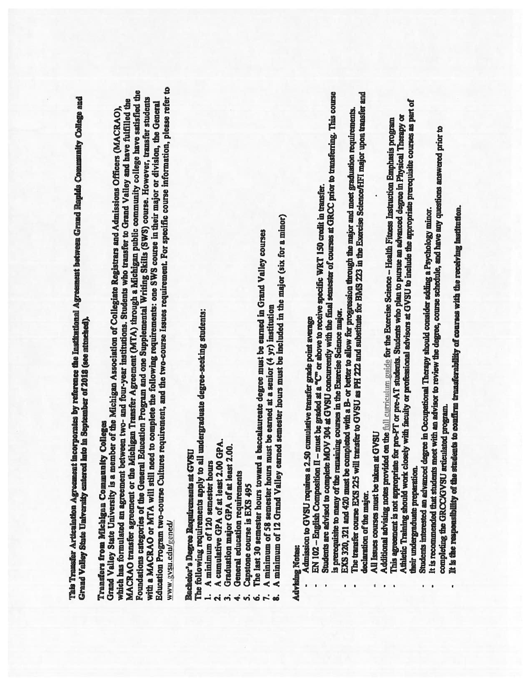This Transfer Articulation Agreement incorporates by reference the Institutional Agreement between Grand Rapids Community College and Grand Valley State University entered into in September of 2018 (see attached).

# Transfers from Michigan Community Colleges

Education Program two-course Cultures requirement, and the two-course Issues requirement. For specific course information, please refer to MACRAO transfer agreement or the Michigan Transfer Agreement (MTA) through a Michigan public community college have satisfied the Foundations categories of the General Education Program and one Supplemental Writing Skills (SWS) course. However, transfer students which has formulated an agreement between two- and four-year institutions. Students who transfer to Grand Valley and have fulfilled the with a MACRAO or MTA will still need to complete the following requirements: one SWS course in their major or division, the General Grand Valley State University is a member of the Michigan Association of Collegiate Registrars and Admissions Officers (MACRAO), www.gvsu.edu/gened/

## **Bachelor's Degree Requirements at GVSU**

The following requirements apply to all undergraduate degree-seeking students:

- A minimum of 120 semester hours
- A cumulative GPA of at least 2.00 GPA.
	- Graduation major GPA of at least 2.00.
		- General education requirements 4
			- Capstone course is EXS 495  $\mathbf{v}$ 
				- Ġ
- The last 30 semester hours toward a baccalaureate degree must be earned in Grand Valley courses
	- A minimum of 58 semester hours must be earned at a senior (4 yr) institution ு வி
- A minimum of 12 Grand Valley earned semester hours must be included in the major (six for a minor)

## **Advising Notes:**

- Admission to GVSU requires a 2.50 cumulative transfer grade point average
- EN 102 English Composition II must be graded at a  $\overline{a}$  or above to receive specific WRT 150 credit in transfer.
- Students are advised to complete MOV 304 at GVSU concurrently with the final semester of courses at GRCC prior to transferring. This course is prerequisite to many of the remaining courses in the Exercise Science major.
- EXS 320, 321 and 420 must be completed with a B- or better to allow for progression through the major and meet graduation requirements.<br>The transfer course EXS 225 will transfer to GVSU as PH 222 and substitute for BMS 223 declaration of the major.
	- All Issues courses must be taken at GVSU
- 
- Athletic Training should work closely with faculty or professional advisors at GVSU to include the appropriate prerequisite courses as part of This agreement is not appropriate for pre-PT or pre-AT students. Students who plan to pursue an advanced degree in Physical Therapy or Additional advising notes provided on the full curriculum guide for the Exercise Science - Health Fitness Instruction Emphasis program their undergraduate preparation.
	- Students interested an advanced degree in Occupational Therapy should consider adding a Psychology minor.
- It is recommended that students meet with an advisor to review the degree, course schedule, and have any questions answered prior to completing the GRCCAGVSU articulated program.
	- It is the responsibility of the students to confirm transferability of courses with the receiving institution.